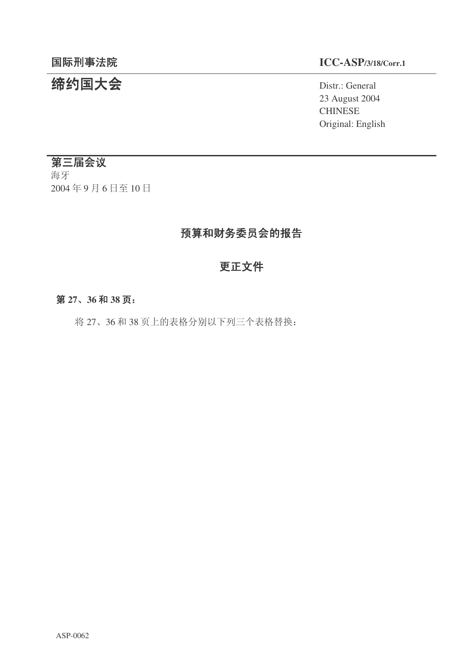# 结约国大会 **Distriprime in the Second Second** District General

## 䰙ߥџ⊩䰶 **ICC-ASP/3/18/Corr.1**

23 August 2004 **CHINESE** Original: English

## 第三届会议

海牙 2004年9月6日至10日

## 预算和财务委员会的报告

## 更正文件

#### 第27、36和38页:

将 27、36 和 38 页上的表格分别以下列三个表格替换: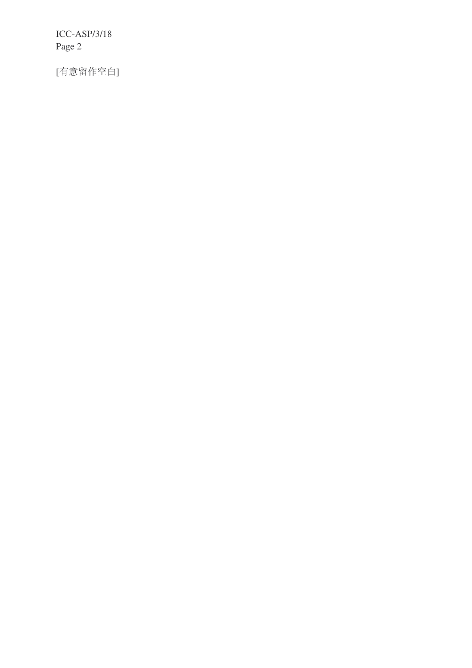ICC-ASP/3/18 Page 2

[有意留作空白]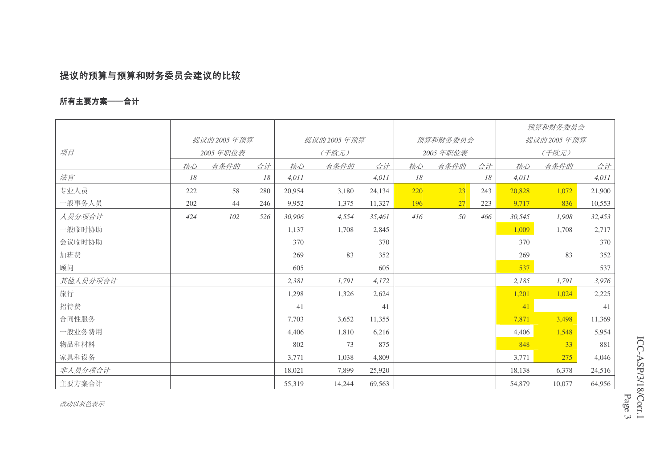## 提议的预算与预算和财务委员会建议的比较

### 所有主要方案——合计

|          |                        |      |     |            |        |        |          |      |     | 预算和财务委员会   |        |        |
|----------|------------------------|------|-----|------------|--------|--------|----------|------|-----|------------|--------|--------|
|          | 提议的2005年预算<br>2005年职位表 |      |     | 提议的2005年预算 |        |        | 预算和财务委员会 |      |     | 提议的2005年预算 |        |        |
| 项目       |                        |      |     | (千欧元)      |        |        | 2005年职位表 |      |     | (千欧元)      |        |        |
|          | 核心                     | 有条件的 | 合计  | 核心         | 有条件的   | 合计     | 核心       | 有条件的 | 合计  | 核心         | 有条件的   | 合计     |
| 法官       | 18                     |      | 18  | 4,011      |        | 4,011  | 18       |      | 18  | 4,011      |        | 4,011  |
| 专业人员     | 222                    | 58   | 280 | 20,954     | 3,180  | 24,134 | 220      | 23   | 243 | 20,828     | 1,072  | 21,900 |
| 一般事务人员   | 202                    | 44   | 246 | 9,952      | 1,375  | 11,327 | 196      | 27   | 223 | 9,717      | 836    | 10,553 |
| 人员分项合计   | 424                    | 102  | 526 | 30,906     | 4,554  | 35,461 | 416      | 50   | 466 | 30,545     | 1,908  | 32,453 |
| 一般临时协助   |                        |      |     | 1,137      | 1,708  | 2,845  |          |      |     | 1,009      | 1,708  | 2,717  |
| 会议临时协助   |                        |      |     | 370        |        | 370    |          |      |     | 370        |        | 370    |
| 加班费      |                        |      |     | 269        | 83     | 352    |          |      |     | 269        | 83     | 352    |
| 顾问       |                        |      |     | 605        |        | 605    |          |      |     | 537        |        | 537    |
| 其他人员分项合计 |                        |      |     | 2,381      | 1,791  | 4,172  |          |      |     | 2,185      | 1,791  | 3,976  |
| 旅行       |                        |      |     | 1,298      | 1,326  | 2,624  |          |      |     | 1,201      | 1,024  | 2,225  |
| 招待费      |                        |      |     | 41         |        | 41     |          |      |     | 41         |        | 41     |
| 合同性服务    |                        |      |     | 7,703      | 3,652  | 11,355 |          |      |     | 7,871      | 3,498  | 11,369 |
| 一般业务费用   |                        |      |     | 4,406      | 1,810  | 6,216  |          |      |     | 4,406      | 1,548  | 5,954  |
| 物品和材料    |                        |      |     | 802        | 73     | 875    |          |      |     | 848        | 33     | 881    |
| 家具和设备    |                        |      |     | 3,771      | 1,038  | 4,809  |          |      |     | 3,771      | 275    | 4,046  |
| 非人员分项合计  |                        |      |     | 18,021     | 7,899  | 25,920 |          |      |     | 18,138     | 6,378  | 24,516 |
| 主要方案合计   |                        |      |     | 55,319     | 14,244 | 69,563 |          |      |     | 54,879     | 10,077 | 64,956 |

Page

ICC-ASP/3/18/Corr.1

 $\mathcal{G}$ 

改动以灰色表示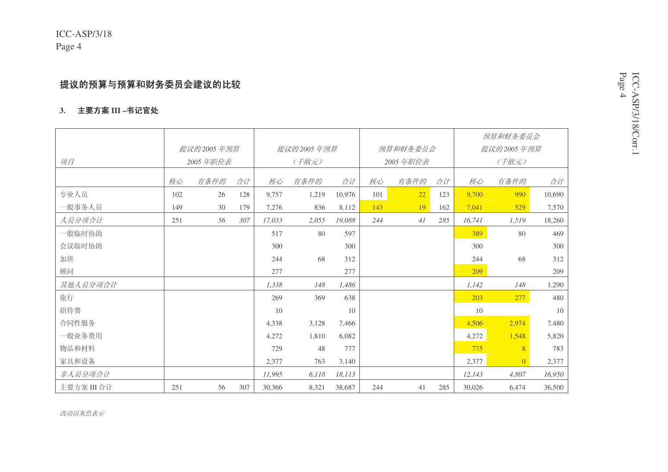## 提议的预算与预算和财务委员会建议的比较

#### 3. 主要方案 III –书记官处

|             |              |      |     |            |       |        |          |      |     |            | 预算和财务委员会       |        |
|-------------|--------------|------|-----|------------|-------|--------|----------|------|-----|------------|----------------|--------|
|             | 提议的 2005 年预算 |      |     | 提议的2005年预算 |       |        | 预算和财务委员会 |      |     | 提议的2005年预算 |                |        |
| 项目          | 2005 年职位表    |      |     | (千欧元)      |       |        | 2005年职位表 |      |     | (千欧元)      |                |        |
|             | 核心           | 有条件的 | 合计  | 核心         | 有条件的  | 合计     | 核心       | 有条件的 | 合计  | 核心         | 有条件的           | 合计     |
| 专业人员        | 102          | 26   | 128 | 9,757      | 1,219 | 10,976 | 101      | 22   | 123 | 9,700      | 990            | 10,690 |
| 一般事务人员      | 149          | 30   | 179 | 7,276      | 836   | 8,112  | 143      | 19   | 162 | 7,041      | 529            | 7,570  |
| 人员分项合计      | 251          | 56   | 307 | 17,033     | 2,055 | 19,088 | 244      | 41   | 285 | 16,741     | 1,519          | 18,260 |
| 一般临时协助      |              |      |     | 517        | 80    | 597    |          |      |     | 389        | 80             | 469    |
| 会议临时协助      |              |      |     | 300        |       | 300    |          |      |     | 300        |                | 300    |
| 加班          |              |      |     | 244        | 68    | 312    |          |      |     | 244        | 68             | 312    |
| 顾问          |              |      |     | 277        |       | 277    |          |      |     | 209        |                | 209    |
| 其他人员分项合计    |              |      |     | 1,338      | 148   | 1,486  |          |      |     | 1,142      | 148            | 1,290  |
| 旅行          |              |      |     | 269        | 369   | 638    |          |      |     | 203        | 277            | 480    |
| 招待费         |              |      |     | 10         |       | 10     |          |      |     | 10         |                | 10     |
| 合同性服务       |              |      |     | 4,338      | 3,128 | 7,466  |          |      |     | 4,506      | 2,974          | 7,480  |
| 一般业务费用      |              |      |     | 4,272      | 1,810 | 6,082  |          |      |     | 4,272      | 1,548          | 5,820  |
| 物品和材料       |              |      |     | 729        | 48    | 777    |          |      |     | 775        | 8              | 783    |
| 家具和设备       |              |      |     | 2,377      | 763   | 3,140  |          |      |     | 2,377      | $\overline{0}$ | 2,377  |
| 非人员分项合计     |              |      |     | 11,995     | 6,118 | 18,113 |          |      |     | 12,143     | 4,807          | 16,950 |
| 主要方案 III 合计 | 251          | 56   | 307 | 30,366     | 8,321 | 38,687 | 244      | 41   | 285 | 30,026     | 6,474          | 36,500 |

ICC-ASP/3/18/Corr.1

Page  $\rightarrow$ 

改动以灰色表示